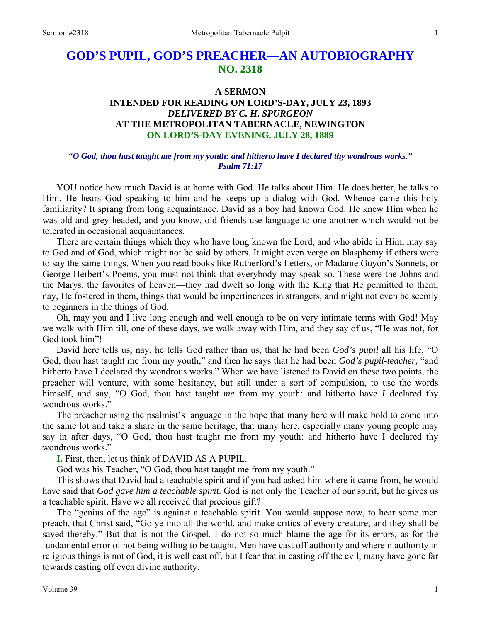# **GOD'S PUPIL, GOD'S PREACHER—AN AUTOBIOGRAPHY NO. 2318**

## **A SERMON**

# **INTENDED FOR READING ON LORD'S-DAY, JULY 23, 1893**  *DELIVERED BY C. H. SPURGEON*  **AT THE METROPOLITAN TABERNACLE, NEWINGTON ON LORD'S-DAY EVENING, JULY 28, 1889**

## *"O God, thou hast taught me from my youth: and hitherto have I declared thy wondrous works." Psalm 71:17*

YOU notice how much David is at home with God. He talks about Him. He does better, he talks to Him. He hears God speaking to him and he keeps up a dialog with God. Whence came this holy familiarity? It sprang from long acquaintance. David as a boy had known God. He knew Him when he was old and grey-headed, and you know, old friends use language to one another which would not be tolerated in occasional acquaintances.

There are certain things which they who have long known the Lord, and who abide in Him, may say to God and of God, which might not be said by others. It might even verge on blasphemy if others were to say the same things. When you read books like Rutherford's Letters, or Madame Guyon's Sonnets, or George Herbert's Poems, you must not think that everybody may speak so. These were the Johns and the Marys, the favorites of heaven—they had dwelt so long with the King that He permitted to them, nay, He fostered in them, things that would be impertinences in strangers, and might not even be seemly to beginners in the things of God.

Oh, may you and I live long enough and well enough to be on very intimate terms with God! May we walk with Him till, one of these days, we walk away with Him, and they say of us, "He was not, for God took him"!

David here tells us, nay, he tells God rather than us, that he had been *God's pupil* all his life, "O God, thou hast taught me from my youth," and then he says that he had been *God's pupil-teacher,* "and hitherto have I declared thy wondrous works." When we have listened to David on these two points, the preacher will venture, with some hesitancy, but still under a sort of compulsion, to use the words himself, and say, "O God, thou hast taught *me* from my youth: and hitherto have *I* declared thy wondrous works."

The preacher using the psalmist's language in the hope that many here will make bold to come into the same lot and take a share in the same heritage, that many here, especially many young people may say in after days, "O God, thou hast taught me from my youth: and hitherto have I declared thy wondrous works."

**I.** First, then, let us think of DAVID AS A PUPIL.

God was his Teacher, "O God, thou hast taught me from my youth."

This shows that David had a teachable spirit and if you had asked him where it came from, he would have said that *God gave him a teachable spirit*. God is not only the Teacher of our spirit, but he gives us a teachable spirit. Have we all received that precious gift?

The "genius of the age" is against a teachable spirit. You would suppose now, to hear some men preach, that Christ said, "Go ye into all the world, and make critics of every creature, and they shall be saved thereby." But that is not the Gospel. I do not so much blame the age for its errors, as for the fundamental error of not being willing to be taught. Men have cast off authority and wherein authority in religious things is not of God, it is well cast off, but I fear that in casting off the evil, many have gone far towards casting off even divine authority.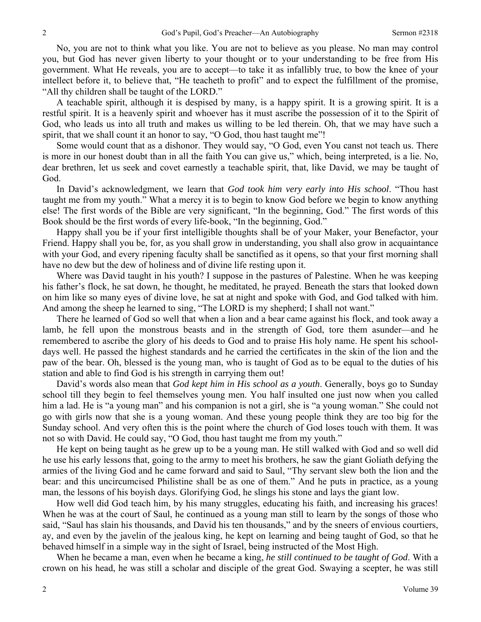No, you are not to think what you like. You are not to believe as you please. No man may control you, but God has never given liberty to your thought or to your understanding to be free from His government. What He reveals, you are to accept—to take it as infallibly true, to bow the knee of your intellect before it, to believe that, "He teacheth to profit" and to expect the fulfillment of the promise, "All thy children shall be taught of the LORD."

A teachable spirit, although it is despised by many, is a happy spirit. It is a growing spirit. It is a restful spirit. It is a heavenly spirit and whoever has it must ascribe the possession of it to the Spirit of God, who leads us into all truth and makes us willing to be led therein. Oh, that we may have such a spirit, that we shall count it an honor to say, "O God, thou hast taught me"!

Some would count that as a dishonor. They would say, "O God, even You canst not teach us. There is more in our honest doubt than in all the faith You can give us," which, being interpreted, is a lie. No, dear brethren, let us seek and covet earnestly a teachable spirit, that, like David, we may be taught of God.

In David's acknowledgment, we learn that *God took him very early into His school*. "Thou hast taught me from my youth." What a mercy it is to begin to know God before we begin to know anything else! The first words of the Bible are very significant, "In the beginning, God." The first words of this Book should be the first words of every life-book, "In the beginning, God."

Happy shall you be if your first intelligible thoughts shall be of your Maker, your Benefactor, your Friend. Happy shall you be, for, as you shall grow in understanding, you shall also grow in acquaintance with your God, and every ripening faculty shall be sanctified as it opens, so that your first morning shall have no dew but the dew of holiness and of divine life resting upon it.

Where was David taught in his youth? I suppose in the pastures of Palestine. When he was keeping his father's flock, he sat down, he thought, he meditated, he prayed. Beneath the stars that looked down on him like so many eyes of divine love, he sat at night and spoke with God, and God talked with him. And among the sheep he learned to sing, "The LORD is my shepherd; I shall not want."

There he learned of God so well that when a lion and a bear came against his flock, and took away a lamb, he fell upon the monstrous beasts and in the strength of God, tore them asunder—and he remembered to ascribe the glory of his deeds to God and to praise His holy name. He spent his schooldays well. He passed the highest standards and he carried the certificates in the skin of the lion and the paw of the bear. Oh, blessed is the young man, who is taught of God as to be equal to the duties of his station and able to find God is his strength in carrying them out!

David's words also mean that *God kept him in His school as a youth*. Generally, boys go to Sunday school till they begin to feel themselves young men. You half insulted one just now when you called him a lad. He is "a young man" and his companion is not a girl, she is "a young woman." She could not go with girls now that she is a young woman. And these young people think they are too big for the Sunday school. And very often this is the point where the church of God loses touch with them. It was not so with David. He could say, "O God, thou hast taught me from my youth."

He kept on being taught as he grew up to be a young man. He still walked with God and so well did he use his early lessons that, going to the army to meet his brothers, he saw the giant Goliath defying the armies of the living God and he came forward and said to Saul, "Thy servant slew both the lion and the bear: and this uncircumcised Philistine shall be as one of them." And he puts in practice, as a young man, the lessons of his boyish days. Glorifying God, he slings his stone and lays the giant low.

How well did God teach him, by his many struggles, educating his faith, and increasing his graces! When he was at the court of Saul, he continued as a young man still to learn by the songs of those who said, "Saul has slain his thousands, and David his ten thousands," and by the sneers of envious courtiers, ay, and even by the javelin of the jealous king, he kept on learning and being taught of God, so that he behaved himself in a simple way in the sight of Israel, being instructed of the Most High.

When he became a man, even when he became a king, *he still continued to be taught of God*. With a crown on his head, he was still a scholar and disciple of the great God. Swaying a scepter, he was still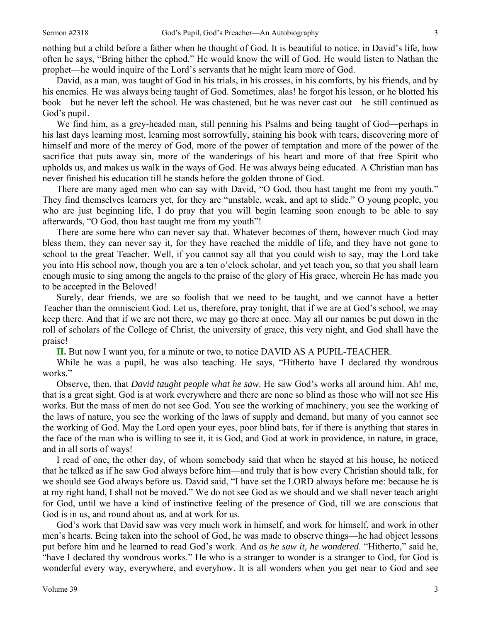nothing but a child before a father when he thought of God. It is beautiful to notice, in David's life, how often he says, "Bring hither the ephod." He would know the will of God. He would listen to Nathan the prophet—he would inquire of the Lord's servants that he might learn more of God.

David, as a man, was taught of God in his trials, in his crosses, in his comforts, by his friends, and by his enemies. He was always being taught of God. Sometimes, alas! he forgot his lesson, or he blotted his book—but he never left the school. He was chastened, but he was never cast out—he still continued as God's pupil.

We find him, as a grey-headed man, still penning his Psalms and being taught of God—perhaps in his last days learning most, learning most sorrowfully, staining his book with tears, discovering more of himself and more of the mercy of God, more of the power of temptation and more of the power of the sacrifice that puts away sin, more of the wanderings of his heart and more of that free Spirit who upholds us, and makes us walk in the ways of God. He was always being educated. A Christian man has never finished his education till he stands before the golden throne of God.

There are many aged men who can say with David, "O God, thou hast taught me from my youth." They find themselves learners yet, for they are "unstable, weak, and apt to slide." O young people, you who are just beginning life, I do pray that you will begin learning soon enough to be able to say afterwards, "O God, thou hast taught me from my youth"!

There are some here who can never say that. Whatever becomes of them, however much God may bless them, they can never say it, for they have reached the middle of life, and they have not gone to school to the great Teacher. Well, if you cannot say all that you could wish to say, may the Lord take you into His school now, though you are a ten o'clock scholar, and yet teach you, so that you shall learn enough music to sing among the angels to the praise of the glory of His grace, wherein He has made you to be accepted in the Beloved!

Surely, dear friends, we are so foolish that we need to be taught, and we cannot have a better Teacher than the omniscient God. Let us, therefore, pray tonight, that if we are at God's school, we may keep there. And that if we are not there, we may go there at once. May all our names be put down in the roll of scholars of the College of Christ, the university of grace, this very night, and God shall have the praise!

**II.** But now I want you, for a minute or two, to notice DAVID AS A PUPIL-TEACHER.

While he was a pupil, he was also teaching. He says, "Hitherto have I declared thy wondrous works."

Observe, then, that *David taught people what he saw*. He saw God's works all around him. Ah! me, that is a great sight. God is at work everywhere and there are none so blind as those who will not see His works. But the mass of men do not see God. You see the working of machinery, you see the working of the laws of nature, you see the working of the laws of supply and demand, but many of you cannot see the working of God. May the Lord open your eyes, poor blind bats, for if there is anything that stares in the face of the man who is willing to see it, it is God, and God at work in providence, in nature, in grace, and in all sorts of ways!

I read of one, the other day, of whom somebody said that when he stayed at his house, he noticed that he talked as if he saw God always before him—and truly that is how every Christian should talk, for we should see God always before us. David said, "I have set the LORD always before me: because he is at my right hand, I shall not be moved." We do not see God as we should and we shall never teach aright for God, until we have a kind of instinctive feeling of the presence of God, till we are conscious that God is in us, and round about us, and at work for us.

God's work that David saw was very much work in himself, and work for himself, and work in other men's hearts. Being taken into the school of God, he was made to observe things—he had object lessons put before him and he learned to read God's work. And *as he saw it, he wondered*. "Hitherto," said he, "have I declared thy wondrous works." He who is a stranger to wonder is a stranger to God, for God is wonderful every way, everywhere, and everyhow. It is all wonders when you get near to God and see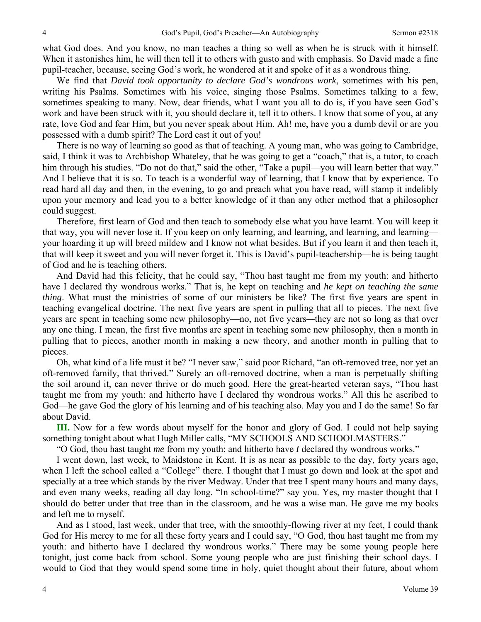what God does. And you know, no man teaches a thing so well as when he is struck with it himself. When it astonishes him, he will then tell it to others with gusto and with emphasis. So David made a fine pupil-teacher, because, seeing God's work, he wondered at it and spoke of it as a wondrous thing.

We find that *David took opportunity to declare God's wondrous work*, sometimes with his pen, writing his Psalms. Sometimes with his voice, singing those Psalms. Sometimes talking to a few, sometimes speaking to many. Now, dear friends, what I want you all to do is, if you have seen God's work and have been struck with it, you should declare it, tell it to others. I know that some of you, at any rate, love God and fear Him, but you never speak about Him. Ah! me, have you a dumb devil or are you possessed with a dumb spirit? The Lord cast it out of you!

There is no way of learning so good as that of teaching. A young man, who was going to Cambridge, said, I think it was to Archbishop Whateley, that he was going to get a "coach," that is, a tutor, to coach him through his studies. "Do not do that," said the other, "Take a pupil—you will learn better that way." And I believe that it is so. To teach is a wonderful way of learning, that I know that by experience. To read hard all day and then, in the evening, to go and preach what you have read, will stamp it indelibly upon your memory and lead you to a better knowledge of it than any other method that a philosopher could suggest.

Therefore, first learn of God and then teach to somebody else what you have learnt. You will keep it that way, you will never lose it. If you keep on only learning, and learning, and learning, and learning your hoarding it up will breed mildew and I know not what besides. But if you learn it and then teach it, that will keep it sweet and you will never forget it. This is David's pupil-teachership—he is being taught of God and he is teaching others.

And David had this felicity, that he could say, "Thou hast taught me from my youth: and hitherto have I declared thy wondrous works." That is, he kept on teaching and *he kept on teaching the same thing*. What must the ministries of some of our ministers be like? The first five years are spent in teaching evangelical doctrine. The next five years are spent in pulling that all to pieces. The next five years are spent in teaching some new philosophy—no, not five years*—*they are not so long as that over any one thing. I mean, the first five months are spent in teaching some new philosophy, then a month in pulling that to pieces, another month in making a new theory, and another month in pulling that to pieces.

Oh, what kind of a life must it be? "I never saw," said poor Richard, "an oft-removed tree, nor yet an oft-removed family, that thrived." Surely an oft-removed doctrine, when a man is perpetually shifting the soil around it, can never thrive or do much good. Here the great-hearted veteran says, "Thou hast taught me from my youth: and hitherto have I declared thy wondrous works." All this he ascribed to God—he gave God the glory of his learning and of his teaching also. May you and I do the same! So far about David.

**III.** Now for a few words about myself for the honor and glory of God. I could not help saying something tonight about what Hugh Miller calls, "MY SCHOOLS AND SCHOOLMASTERS."

"O God, thou hast taught *me* from my youth: and hitherto have *I* declared thy wondrous works."

I went down, last week, to Maidstone in Kent. It is as near as possible to the day, forty years ago, when I left the school called a "College" there. I thought that I must go down and look at the spot and specially at a tree which stands by the river Medway. Under that tree I spent many hours and many days, and even many weeks, reading all day long. "In school-time?" say you. Yes, my master thought that I should do better under that tree than in the classroom, and he was a wise man. He gave me my books and left me to myself.

And as I stood, last week, under that tree, with the smoothly-flowing river at my feet, I could thank God for His mercy to me for all these forty years and I could say, "O God, thou hast taught me from my youth: and hitherto have I declared thy wondrous works." There may be some young people here tonight, just come back from school. Some young people who are just finishing their school days. I would to God that they would spend some time in holy, quiet thought about their future, about whom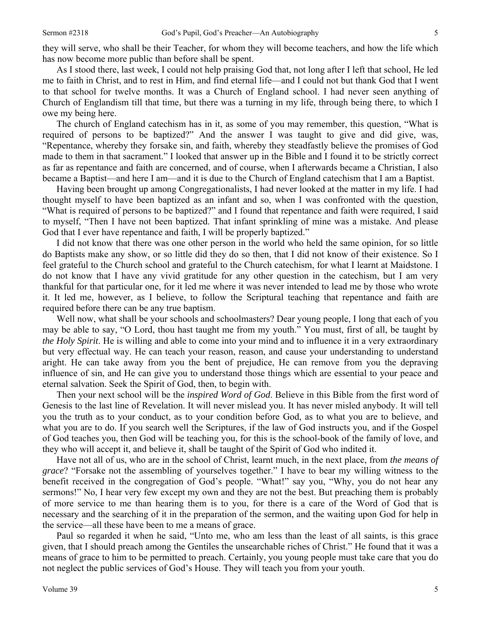they will serve, who shall be their Teacher, for whom they will become teachers, and how the life which has now become more public than before shall be spent.

As I stood there, last week, I could not help praising God that, not long after I left that school, He led me to faith in Christ, and to rest in Him, and find eternal life—and I could not but thank God that I went to that school for twelve months. It was a Church of England school. I had never seen anything of Church of Englandism till that time, but there was a turning in my life, through being there, to which I owe my being here.

The church of England catechism has in it, as some of you may remember, this question, "What is required of persons to be baptized?" And the answer I was taught to give and did give, was, "Repentance, whereby they forsake sin, and faith, whereby they steadfastly believe the promises of God made to them in that sacrament." I looked that answer up in the Bible and I found it to be strictly correct as far as repentance and faith are concerned, and of course, when I afterwards became a Christian, I also became a Baptist—and here I am—and it is due to the Church of England catechism that I am a Baptist.

Having been brought up among Congregationalists, I had never looked at the matter in my life. I had thought myself to have been baptized as an infant and so, when I was confronted with the question, "What is required of persons to be baptized?" and I found that repentance and faith were required, I said to myself, "Then I have not been baptized. That infant sprinkling of mine was a mistake. And please God that I ever have repentance and faith, I will be properly baptized."

I did not know that there was one other person in the world who held the same opinion, for so little do Baptists make any show, or so little did they do so then, that I did not know of their existence. So I feel grateful to the Church school and grateful to the Church catechism, for what I learnt at Maidstone. I do not know that I have any vivid gratitude for any other question in the catechism, but I am very thankful for that particular one, for it led me where it was never intended to lead me by those who wrote it. It led me, however, as I believe, to follow the Scriptural teaching that repentance and faith are required before there can be any true baptism.

Well now, what shall be your schools and schoolmasters? Dear young people, I long that each of you may be able to say, "O Lord, thou hast taught me from my youth." You must, first of all, be taught by *the Holy Spirit*. He is willing and able to come into your mind and to influence it in a very extraordinary but very effectual way. He can teach your reason, reason, and cause your understanding to understand aright. He can take away from you the bent of prejudice, He can remove from you the depraving influence of sin, and He can give you to understand those things which are essential to your peace and eternal salvation. Seek the Spirit of God, then, to begin with.

Then your next school will be the *inspired Word of God*. Believe in this Bible from the first word of Genesis to the last line of Revelation. It will never mislead you. It has never misled anybody. It will tell you the truth as to your conduct, as to your condition before God, as to what you are to believe, and what you are to do. If you search well the Scriptures, if the law of God instructs you, and if the Gospel of God teaches you, then God will be teaching you, for this is the school-book of the family of love, and they who will accept it, and believe it, shall be taught of the Spirit of God who indited it.

Have not all of us, who are in the school of Christ, learnt much, in the next place, from *the means of grace*? "Forsake not the assembling of yourselves together." I have to bear my willing witness to the benefit received in the congregation of God's people. "What!" say you, "Why, you do not hear any sermons!" No, I hear very few except my own and they are not the best. But preaching them is probably of more service to me than hearing them is to you, for there is a care of the Word of God that is necessary and the searching of it in the preparation of the sermon, and the waiting upon God for help in the service—all these have been to me a means of grace.

Paul so regarded it when he said, "Unto me, who am less than the least of all saints, is this grace given, that I should preach among the Gentiles the unsearchable riches of Christ." He found that it was a means of grace to him to be permitted to preach. Certainly, you young people must take care that you do not neglect the public services of God's House. They will teach you from your youth.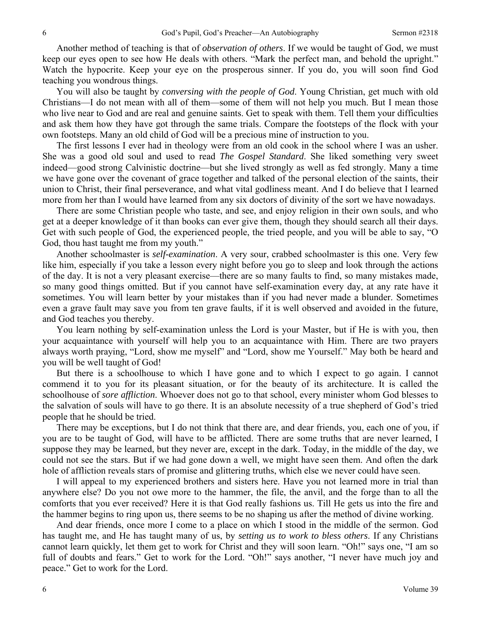Another method of teaching is that of *observation of others*. If we would be taught of God, we must keep our eyes open to see how He deals with others. "Mark the perfect man, and behold the upright." Watch the hypocrite. Keep your eye on the prosperous sinner. If you do, you will soon find God teaching you wondrous things.

You will also be taught by *conversing with the people of God*. Young Christian, get much with old Christians—I do not mean with all of them—some of them will not help you much. But I mean those who live near to God and are real and genuine saints. Get to speak with them. Tell them your difficulties and ask them how they have got through the same trials. Compare the footsteps of the flock with your own footsteps. Many an old child of God will be a precious mine of instruction to you.

The first lessons I ever had in theology were from an old cook in the school where I was an usher. She was a good old soul and used to read *The Gospel Standard*. She liked something very sweet indeed—good strong Calvinistic doctrine—but she lived strongly as well as fed strongly. Many a time we have gone over the covenant of grace together and talked of the personal election of the saints, their union to Christ, their final perseverance, and what vital godliness meant. And I do believe that I learned more from her than I would have learned from any six doctors of divinity of the sort we have nowadays.

There are some Christian people who taste, and see, and enjoy religion in their own souls, and who get at a deeper knowledge of it than books can ever give them, though they should search all their days. Get with such people of God, the experienced people, the tried people, and you will be able to say, "O God, thou hast taught me from my youth."

Another schoolmaster is *self-examination*. A very sour, crabbed schoolmaster is this one. Very few like him, especially if you take a lesson every night before you go to sleep and look through the actions of the day. It is not a very pleasant exercise—there are so many faults to find, so many mistakes made, so many good things omitted. But if you cannot have self-examination every day, at any rate have it sometimes. You will learn better by your mistakes than if you had never made a blunder. Sometimes even a grave fault may save you from ten grave faults, if it is well observed and avoided in the future, and God teaches you thereby.

You learn nothing by self-examination unless the Lord is your Master, but if He is with you, then your acquaintance with yourself will help you to an acquaintance with Him. There are two prayers always worth praying, "Lord, show me myself" and "Lord, show me Yourself." May both be heard and you will be well taught of God!

But there is a schoolhouse to which I have gone and to which I expect to go again. I cannot commend it to you for its pleasant situation, or for the beauty of its architecture. It is called the schoolhouse of *sore affliction*. Whoever does not go to that school, every minister whom God blesses to the salvation of souls will have to go there. It is an absolute necessity of a true shepherd of God's tried people that he should be tried.

There may be exceptions, but I do not think that there are, and dear friends, you, each one of you, if you are to be taught of God, will have to be afflicted. There are some truths that are never learned, I suppose they may be learned, but they never are, except in the dark. Today, in the middle of the day, we could not see the stars. But if we had gone down a well, we might have seen them. And often the dark hole of affliction reveals stars of promise and glittering truths, which else we never could have seen.

I will appeal to my experienced brothers and sisters here. Have you not learned more in trial than anywhere else? Do you not owe more to the hammer, the file, the anvil, and the forge than to all the comforts that you ever received? Here it is that God really fashions us. Till He gets us into the fire and the hammer begins to ring upon us, there seems to be no shaping us after the method of divine working.

And dear friends, once more I come to a place on which I stood in the middle of the sermon. God has taught me, and He has taught many of us, by *setting us to work to bless others*. If any Christians cannot learn quickly, let them get to work for Christ and they will soon learn. "Oh!" says one, "I am so full of doubts and fears." Get to work for the Lord. "Oh!" says another, "I never have much joy and peace." Get to work for the Lord.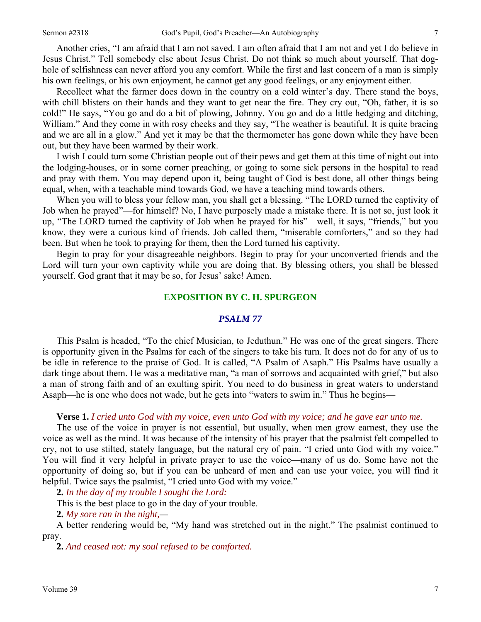Another cries, "I am afraid that I am not saved. I am often afraid that I am not and yet I do believe in Jesus Christ." Tell somebody else about Jesus Christ. Do not think so much about yourself. That doghole of selfishness can never afford you any comfort. While the first and last concern of a man is simply his own feelings, or his own enjoyment, he cannot get any good feelings, or any enjoyment either.

Recollect what the farmer does down in the country on a cold winter's day. There stand the boys, with chill blisters on their hands and they want to get near the fire. They cry out, "Oh, father, it is so cold!" He says, "You go and do a bit of plowing, Johnny. You go and do a little hedging and ditching, William." And they come in with rosy cheeks and they say, "The weather is beautiful. It is quite bracing and we are all in a glow." And yet it may be that the thermometer has gone down while they have been out, but they have been warmed by their work.

I wish I could turn some Christian people out of their pews and get them at this time of night out into the lodging-houses, or in some corner preaching, or going to some sick persons in the hospital to read and pray with them. You may depend upon it, being taught of God is best done, all other things being equal, when, with a teachable mind towards God, we have a teaching mind towards others.

When you will to bless your fellow man, you shall get a blessing. "The LORD turned the captivity of Job when he prayed"—for himself? No, I have purposely made a mistake there. It is not so, just look it up, "The LORD turned the captivity of Job when he prayed for his"—well, it says, "friends," but you know, they were a curious kind of friends. Job called them, "miserable comforters," and so they had been. But when he took to praying for them, then the Lord turned his captivity.

Begin to pray for your disagreeable neighbors. Begin to pray for your unconverted friends and the Lord will turn your own captivity while you are doing that. By blessing others, you shall be blessed yourself. God grant that it may be so, for Jesus' sake! Amen.

### **EXPOSITION BY C. H. SPURGEON**

#### *PSALM 77*

This Psalm is headed, "To the chief Musician, to Jeduthun." He was one of the great singers. There is opportunity given in the Psalms for each of the singers to take his turn. It does not do for any of us to be idle in reference to the praise of God. It is called, "A Psalm of Asaph." His Psalms have usually a dark tinge about them. He was a meditative man, "a man of sorrows and acquainted with grief," but also a man of strong faith and of an exulting spirit. You need to do business in great waters to understand Asaph—he is one who does not wade, but he gets into "waters to swim in." Thus he begins—

#### **Verse 1.** *I cried unto God with my voice, even unto God with my voice; and he gave ear unto me.*

The use of the voice in prayer is not essential, but usually, when men grow earnest, they use the voice as well as the mind. It was because of the intensity of his prayer that the psalmist felt compelled to cry, not to use stilted, stately language, but the natural cry of pain. "I cried unto God with my voice." You will find it very helpful in private prayer to use the voice—many of us do. Some have not the opportunity of doing so, but if you can be unheard of men and can use your voice, you will find it helpful. Twice says the psalmist, "I cried unto God with my voice."

**2.** *In the day of my trouble I sought the Lord:* 

This is the best place to go in the day of your trouble.

**2.** *My sore ran in the night,—* 

A better rendering would be, "My hand was stretched out in the night." The psalmist continued to pray.

**2.** *And ceased not: my soul refused to be comforted.*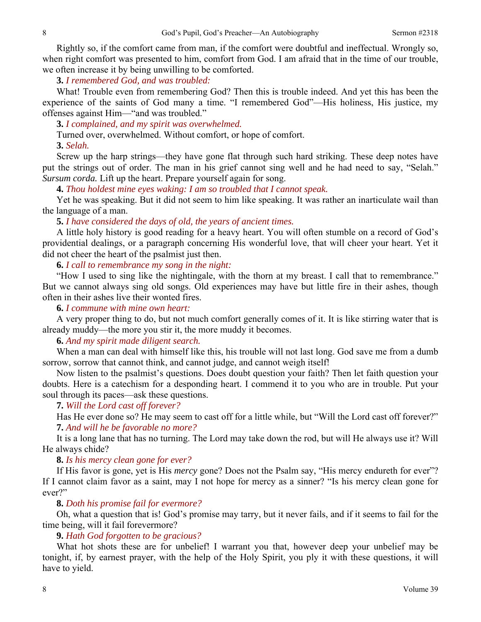Rightly so, if the comfort came from man, if the comfort were doubtful and ineffectual. Wrongly so, when right comfort was presented to him, comfort from God. I am afraid that in the time of our trouble, we often increase it by being unwilling to be comforted.

### **3.** *I remembered God, and was troubled:*

What! Trouble even from remembering God? Then this is trouble indeed. And yet this has been the experience of the saints of God many a time. "I remembered God"—His holiness, His justice, my offenses against Him—"and was troubled."

**3.** *I complained, and my spirit was overwhelmed.* 

Turned over, overwhelmed. Without comfort, or hope of comfort.

**3.** *Selah.* 

Screw up the harp strings—they have gone flat through such hard striking. These deep notes have put the strings out of order. The man in his grief cannot sing well and he had need to say, "Selah." *Sursum corda.* Lift up the heart. Prepare yourself again for song.

**4.** *Thou holdest mine eyes waking: I am so troubled that I cannot speak.*

Yet he was speaking. But it did not seem to him like speaking. It was rather an inarticulate wail than the language of a man.

## **5.** *I have considered the days of old, the years of ancient times.*

A little holy history is good reading for a heavy heart. You will often stumble on a record of God's providential dealings, or a paragraph concerning His wonderful love, that will cheer your heart. Yet it did not cheer the heart of the psalmist just then.

**6.** *I call to remembrance my song in the night:* 

"How I used to sing like the nightingale, with the thorn at my breast. I call that to remembrance." But we cannot always sing old songs. Old experiences may have but little fire in their ashes, though often in their ashes live their wonted fires.

### **6.** *I commune with mine own heart:*

A very proper thing to do, but not much comfort generally comes of it. It is like stirring water that is already muddy—the more you stir it, the more muddy it becomes.

## **6.** *And my spirit made diligent search.*

When a man can deal with himself like this, his trouble will not last long. God save me from a dumb sorrow, sorrow that cannot think, and cannot judge, and cannot weigh itself!

Now listen to the psalmist's questions. Does doubt question your faith? Then let faith question your doubts. Here is a catechism for a desponding heart. I commend it to you who are in trouble. Put your soul through its paces—ask these questions.

### **7.** *Will the Lord cast off forever?*

Has He ever done so? He may seem to cast off for a little while, but "Will the Lord cast off forever?" **7.** *And will he be favorable no more?* 

It is a long lane that has no turning. The Lord may take down the rod, but will He always use it? Will He always chide?

#### **8.** *Is his mercy clean gone for ever?*

If His favor is gone, yet is His *mercy* gone? Does not the Psalm say, "His mercy endureth for ever"? If I cannot claim favor as a saint, may I not hope for mercy as a sinner? "Is his mercy clean gone for ever?"

#### **8.** *Doth his promise fail for evermore?*

Oh, what a question that is! God's promise may tarry, but it never fails, and if it seems to fail for the time being, will it fail forevermore?

## **9.** *Hath God forgotten to be gracious?*

What hot shots these are for unbelief! I warrant you that, however deep your unbelief may be tonight, if, by earnest prayer, with the help of the Holy Spirit, you ply it with these questions, it will have to yield.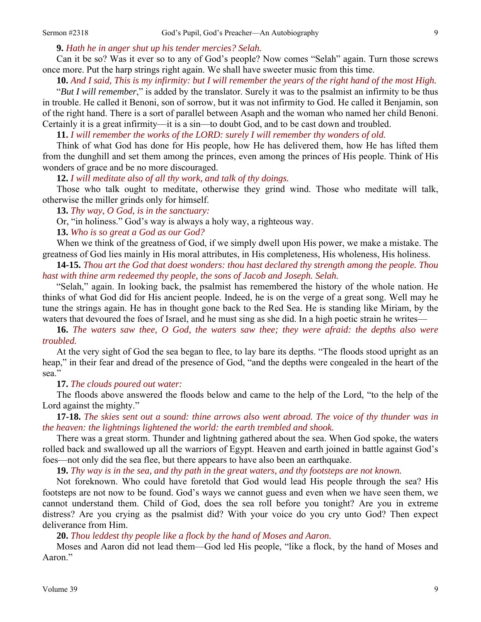**9.** *Hath he in anger shut up his tender mercies? Selah.* 

Can it be so? Was it ever so to any of God's people? Now comes "Selah" again. Turn those screws once more. Put the harp strings right again. We shall have sweeter music from this time.

**10.** *And I said, This is my infirmity: but I will remember the years of the right hand of the most High.* 

"*But I will remember*," is added by the translator. Surely it was to the psalmist an infirmity to be thus in trouble. He called it Benoni, son of sorrow, but it was not infirmity to God. He called it Benjamin, son of the right hand. There is a sort of parallel between Asaph and the woman who named her child Benoni. Certainly it is a great infirmity—it is a sin—to doubt God, and to be cast down and troubled.

**11.** *I will remember the works of the LORD: surely I will remember thy wonders of old.* 

Think of what God has done for His people, how He has delivered them, how He has lifted them from the dunghill and set them among the princes, even among the princes of His people. Think of His wonders of grace and be no more discouraged.

**12.** *I will meditate also of all thy work, and talk of thy doings.* 

Those who talk ought to meditate, otherwise they grind wind. Those who meditate will talk, otherwise the miller grinds only for himself.

**13.** *Thy way, O God, is in the sanctuary:* 

Or, "in holiness." God's way is always a holy way, a righteous way.

**13.** *Who is so great a God as our God?* 

When we think of the greatness of God, if we simply dwell upon His power, we make a mistake. The greatness of God lies mainly in His moral attributes, in His completeness, His wholeness, His holiness.

**14-15.** *Thou art the God that doest wonders: thou hast declared thy strength among the people. Thou hast with thine arm redeemed thy people, the sons of Jacob and Joseph. Selah.*

"Selah," again. In looking back, the psalmist has remembered the history of the whole nation. He thinks of what God did for His ancient people. Indeed, he is on the verge of a great song. Well may he tune the strings again. He has in thought gone back to the Red Sea. He is standing like Miriam, by the waters that devoured the foes of Israel, and he must sing as she did. In a high poetic strain he writes—

**16.** *The waters saw thee, O God, the waters saw thee; they were afraid: the depths also were troubled.*

At the very sight of God the sea began to flee, to lay bare its depths. "The floods stood upright as an heap," in their fear and dread of the presence of God, "and the depths were congealed in the heart of the sea."

**17.** *The clouds poured out water:* 

The floods above answered the floods below and came to the help of the Lord, "to the help of the Lord against the mighty."

**17-18.** *The skies sent out a sound: thine arrows also went abroad. The voice of thy thunder was in the heaven: the lightnings lightened the world: the earth trembled and shook.* 

There was a great storm. Thunder and lightning gathered about the sea. When God spoke, the waters rolled back and swallowed up all the warriors of Egypt. Heaven and earth joined in battle against God's foes—not only did the sea flee, but there appears to have also been an earthquake.

**19.** *Thy way is in the sea, and thy path in the great waters, and thy footsteps are not known.*

Not foreknown. Who could have foretold that God would lead His people through the sea? His footsteps are not now to be found. God's ways we cannot guess and even when we have seen them, we cannot understand them. Child of God, does the sea roll before you tonight? Are you in extreme distress? Are you crying as the psalmist did? With your voice do you cry unto God? Then expect deliverance from Him.

**20.** *Thou leddest thy people like a flock by the hand of Moses and Aaron.*

Moses and Aaron did not lead them—God led His people, "like a flock, by the hand of Moses and Aaron."